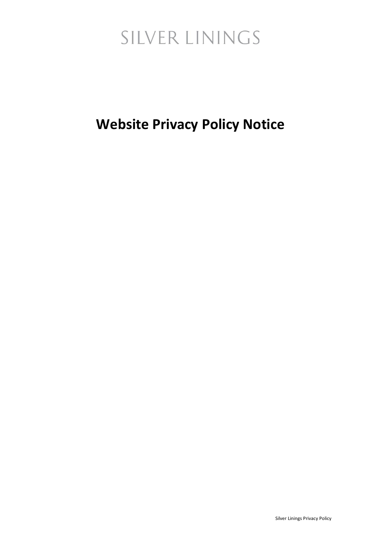### **Website Privacy Policy Notice**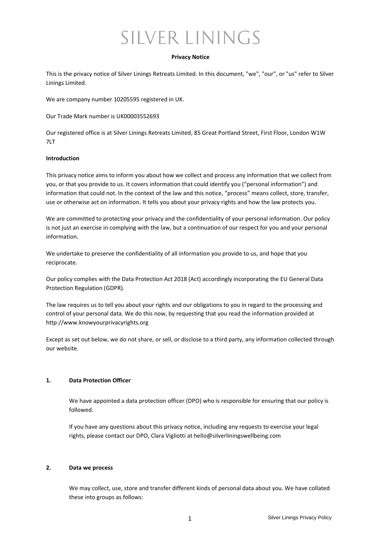#### **Privacy Notice**

This is the privacy notice of Silver Linings Retreats Limited. In this document, "we", "our", or "us" refer to Silver Linings Limited.

We are company number 10205595 registered in UK.

Our Trade Mark number is UK00003552693

Our registered office is at Silver Linings Retreats Limited, 85 Great Portland Street, First Floor, London W1W 7LT

#### **Introduction**

This privacy notice aims to inform you about how we collect and process any information that we collect from you, or that you provide to us. It covers information that could identify you ("personal information") and information that could not. In the context of the law and this notice, "process" means collect, store, transfer, use or otherwise act on information. It tells you about your privacy rights and how the law protects you.

We are committed to protecting your privacy and the confidentiality of your personal information. Our policy is not just an exercise in complying with the law, but a continuation of our respect for you and your personal information.

We undertake to preserve the confidentiality of all information you provide to us, and hope that you reciprocate.

Our policy complies with the Data Protection Act 2018 (Act) accordingly incorporating the EU General Data Protection Regulation (GDPR).

The law requires us to tell you about your rights and our obligations to you in regard to the processing and control of your personal data. We do this now, by requesting that you read the information provided at [http://www.knowyourprivacyrights.org](http://www.knowyourprivacyrights.org/)

Except as set out below, we do not share, or sell, or disclose to a third party, any information collected through our website.

#### **1. Data Protection Officer**

We have appointed a data protection officer (DPO) who is responsible for ensuring that our policy is followed.

If you have any questions about this privacy notice, including any requests to exercise your legal rights, please contact our DPO, Clara Vigliotti at hello@silverliningswellbeing.com

#### **2. Data we process**

We may collect, use, store and transfer different kinds of personal data about you. We have collated these into groups as follows: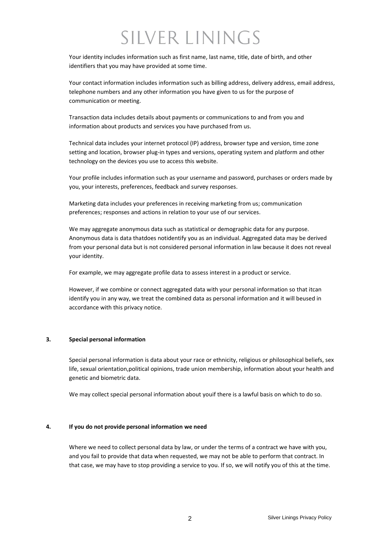Your identity includes information such as first name, last name, title, date of birth, and other identifiers that you may have provided at some time.

Your contact information includes information such as billing address, delivery address, email address, telephone numbers and any other information you have given to us for the purpose of communication or meeting.

Transaction data includes details about payments or communications to and from you and information about products and services you have purchased from us.

Technical data includes your internet protocol (IP) address, browser type and version, time zone setting and location, browser plug-in types and versions, operating system and platform and other technology on the devices you use to access this website.

Your profile includes information such as your username and password, purchases or orders made by you, your interests, preferences, feedback and survey responses.

Marketing data includes your preferences in receiving marketing from us; communication preferences; responses and actions in relation to your use of our services.

We may aggregate anonymous data such as statistical or demographic data for any purpose. Anonymous data is data thatdoes notidentify you as an individual. Aggregated data may be derived from your personal data but is not considered personal information in law because it does not reveal your identity.

For example, we may aggregate profile data to assess interest in a product or service.

However, if we combine or connect aggregated data with your personal information so that itcan identify you in any way, we treat the combined data as personal information and it will beused in accordance with this privacy notice.

#### **3. Special personal information**

Special personal information is data about your race or ethnicity, religious or philosophical beliefs, sex life, sexual orientation,political opinions, trade union membership, information about your health and genetic and biometric data.

We may collect special personal information about youif there is a lawful basis on which to do so.

#### **4. If you do not provide personal information we need**

Where we need to collect personal data by law, or under the terms of a contract we have with you, and you fail to provide that data when requested, we may not be able to perform that contract. In that case, we may have to stop providing a service to you. If so, we will notify you of this at the time.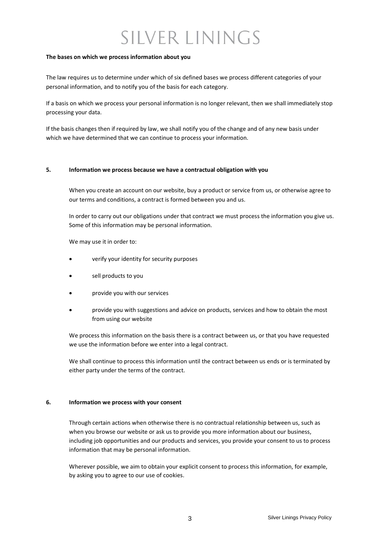#### **The bases on which we process information about you**

The law requires us to determine under which of six defined bases we process different categories of your personal information, and to notify you of the basis for each category.

If a basis on which we process your personal information is no longer relevant, then we shall immediately stop processing your data.

If the basis changes then if required by law, we shall notify you of the change and of any new basis under which we have determined that we can continue to process your information.

#### **5. Information we process because we have a contractual obligation with you**

When you create an account on our website, buy a product or service from us, or otherwise agree to our terms and conditions, a contract is formed between you and us.

In order to carry out our obligations under that contract we must process the information you give us. Some of this information may be personal information.

We may use it in order to:

- verify your identity for security purposes
- sell products to you
- provide you with our services
- provide you with suggestions and advice on products, services and how to obtain the most from using our website

We process this information on the basis there is a contract between us, or that you have requested we use the information before we enter into a legal contract.

We shall continue to process this information until the contract between us ends or is terminated by either party under the terms of the contract.

#### **6. Information we process with your consent**

Through certain actions when otherwise there is no contractual relationship between us, such as when you browse our website or ask us to provide you more information about our business, including job opportunities and our products and services, you provide your consent to us to process information that may be personal information.

Wherever possible, we aim to obtain your explicit consent to process this information, for example, by asking you to agree to our use of cookies.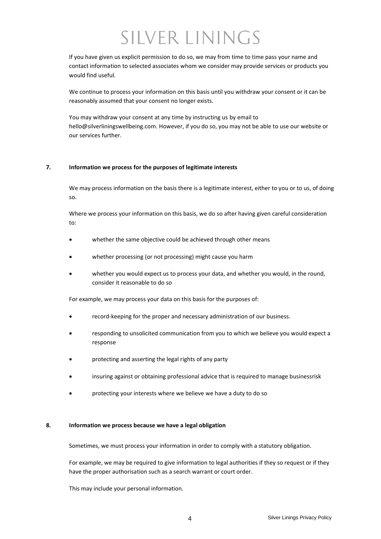If you have given us explicit permission to do so, we may from time to time pass your name and contact information to selected associates whom we consider may provide services or products you would find useful.

We continue to process your information on this basis until you withdraw your consent or it can be reasonably assumed that your consent no longer exists.

You may withdraw your consent at any time by instructing us by email to hello@silverliningswellbeing.com. However, if you do so, you may not be able to use our website or our services further.

#### **7. Information we process for the purposes of legitimate interests**

We may process information on the basis there is a legitimate interest, either to you or to us, of doing so.

Where we process your information on this basis, we do so after having given careful consideration to:

- whether the same objective could be achieved through other means
- whether processing (or not processing) might cause you harm
- whether you would expect us to process your data, and whether you would, in the round, consider it reasonable to do so

For example, we may process your data on this basis for the purposes of:

- record-keeping for the proper and necessary administration of our business.
- responding to unsolicited communication from you to which we believe you would expect a response
- protecting and asserting the legal rights of any party
- insuring against or obtaining professional advice that is required to manage businessrisk
- protecting your interests where we believe we have a duty to do so

#### **8. Information we process because we have a legal obligation**

Sometimes, we must process your information in order to comply with a statutory obligation.

For example, we may be required to give information to legal authorities if they so request or if they have the proper authorisation such as a search warrant or court order.

This may include your personal information.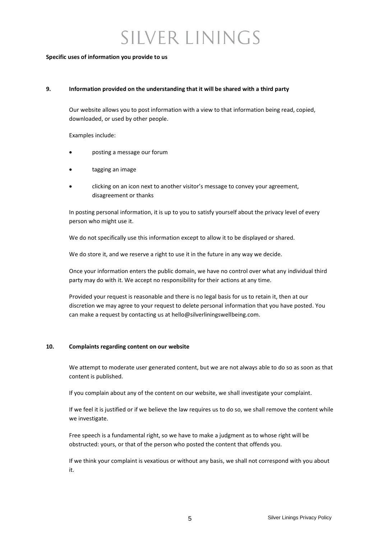#### **Specific uses of information you provide to us**

#### **9. Information provided on the understanding that it will be shared with a third party**

Our website allows you to post information with a view to that information being read, copied, downloaded, or used by other people.

Examples include:

- posting a message our forum
- tagging an image
- clicking on an icon next to another visitor's message to convey your agreement, disagreement or thanks

In posting personal information, it is up to you to satisfy yourself about the privacy level of every person who might use it.

We do not specifically use this information except to allow it to be displayed or shared.

We do store it, and we reserve a right to use it in the future in any way we decide.

Once your information enters the public domain, we have no control over what any individual third party may do with it. We accept no responsibility for their actions at any time.

Provided your request is reasonable and there is no legal basis for us to retain it, then at our discretion we may agree to your request to delete personal information that you have posted. You can make a request by contacting us at hello@silverliningswellbeing.com.

#### **10. Complaints regarding content on our website**

We attempt to moderate user generated content, but we are not always able to do so as soon as that content is published.

If you complain about any of the content on our website, we shall investigate your complaint.

If we feel it is justified or if we believe the law requires us to do so, we shall remove the content while we investigate.

Free speech is a fundamental right, so we have to make a judgment as to whose right will be obstructed: yours, or that of the person who posted the content that offends you.

If we think your complaint is vexatious or without any basis, we shall not correspond with you about it.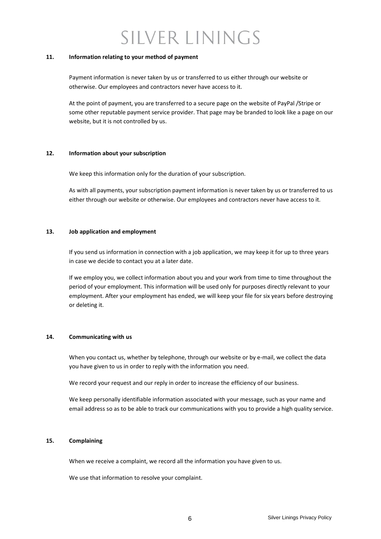#### **11. Information relating to your method of payment**

Payment information is never taken by us or transferred to us either through our website or otherwise. Our employees and contractors never have access to it.

At the point of payment, you are transferred to a secure page on the website of PayPal /Stripe or some other reputable payment service provider. That page may be branded to look like a page on our website, but it is not controlled by us.

#### **12. Information about your subscription**

We keep this information only for the duration of your subscription.

As with all payments, your subscription payment information is never taken by us or transferred to us either through our website or otherwise. Our employees and contractors never have access to it.

#### **13. Job application and employment**

If you send us information in connection with a job application, we may keep it for up to three years in case we decide to contact you at a later date.

If we employ you, we collect information about you and your work from time to time throughout the period of your employment. This information will be used only for purposes directly relevant to your employment. After your employment has ended, we will keep your file for six years before destroying or deleting it.

#### **14. Communicating with us**

When you contact us, whether by telephone, through our website or by e-mail, we collect the data you have given to us in order to reply with the information you need.

We record your request and our reply in order to increase the efficiency of our business.

We keep personally identifiable information associated with your message, such as your name and email address so as to be able to track our communications with you to provide a high quality service.

#### **15. Complaining**

When we receive a complaint, we record all the information you have given to us.

We use that information to resolve your complaint.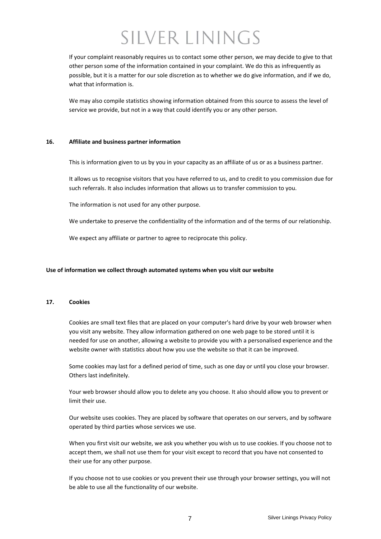If your complaint reasonably requires us to contact some other person, we may decide to give to that other person some of the information contained in your complaint. We do this as infrequently as possible, but it is a matter for our sole discretion as to whether we do give information, and if we do, what that information is.

We may also compile statistics showing information obtained from this source to assess the level of service we provide, but not in a way that could identify you or any other person.

#### **16. Affiliate and business partner information**

This is information given to us by you in your capacity as an affiliate of us or as a business partner.

It allows us to recognise visitors that you have referred to us, and to credit to you commission due for such referrals. It also includes information that allows us to transfer commission to you.

The information is not used for any other purpose.

We undertake to preserve the confidentiality of the information and of the terms of our relationship.

We expect any affiliate or partner to agree to reciprocate this policy.

#### **Use of information we collect through automated systems when you visit our website**

#### **17. Cookies**

Cookies are small text files that are placed on your computer's hard drive by your web browser when you visit any website. They allow information gathered on one web page to be stored until it is needed for use on another, allowing a website to provide you with a personalised experience and the website owner with statistics about how you use the website so that it can be improved.

Some cookies may last for a defined period of time, such as one day or until you close your browser. Others last indefinitely.

Your web browser should allow you to delete any you choose. It also should allow you to prevent or limit their use.

Our website uses cookies. They are placed by software that operates on our servers, and by software operated by third parties whose services we use.

When you first visit our website, we ask you whether you wish us to use cookies. If you choose not to accept them, we shall not use them for your visit except to record that you have not consented to their use for any other purpose.

If you choose not to use cookies or you prevent their use through your browser settings, you will not be able to use all the functionality of our website.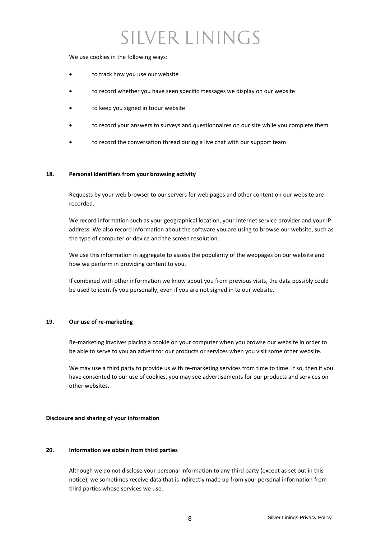We use cookies in the following ways:

- to track how you use our website
- to record whether you have seen specific messages we display on our website
- to keep you signed in toour website
- to record your answers to surveys and questionnaires on our site while you complete them
- to record the conversation thread during a live chat with our support team

#### **18. Personal identifiers from your browsing activity**

Requests by your web browser to our servers for web pages and other content on our website are recorded.

We record information such as your geographical location, your Internet service provider and your IP address. We also record information about the software you are using to browse our website, such as the type of computer or device and the screen resolution.

We use this information in aggregate to assess the popularity of the webpages on our website and how we perform in providing content to you.

If combined with other information we know about you from previous visits, the data possibly could be used to identify you personally, even if you are not signed in to our website.

#### **19. Our use of re-marketing**

Re-marketing involves placing a cookie on your computer when you browse our website in order to be able to serve to you an advert for our products or services when you visit some other website.

We may use a third party to provide us with re-marketing services from time to time. If so, then if you have consented to our use of cookies, you may see advertisements for our products and services on other websites.

#### **Disclosure and sharing of your information**

#### **20. Information we obtain from third parties**

Although we do not disclose your personal information to any third party (except as set out in this notice), we sometimes receive data that is indirectly made up from your personal information from third parties whose services we use.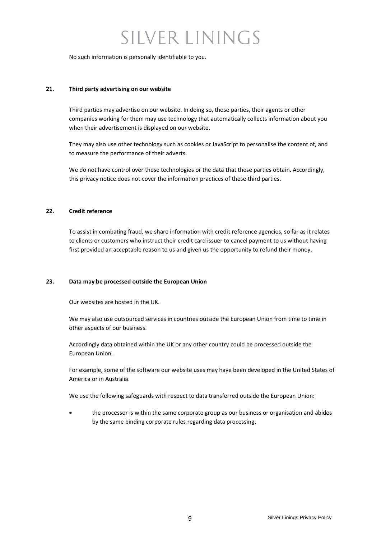No such information is personally identifiable to you.

#### **21. Third party advertising on our website**

Third parties may advertise on our website. In doing so, those parties, their agents or other companies working for them may use technology that automatically collects information about you when their advertisement is displayed on our website.

They may also use other technology such as cookies or JavaScript to personalise the content of, and to measure the performance of their adverts.

We do not have control over these technologies or the data that these parties obtain. Accordingly, this privacy notice does not cover the information practices of these third parties.

#### **22. Credit reference**

To assist in combating fraud, we share information with credit reference agencies, so far as it relates to clients or customers who instruct their credit card issuer to cancel payment to us without having first provided an acceptable reason to us and given us the opportunity to refund their money.

#### **23. Data may be processed outside the European Union**

Our websites are hosted in the UK.

We may also use outsourced services in countries outside the European Union from time to time in other aspects of our business.

Accordingly data obtained within the UK or any other country could be processed outside the European Union.

For example, some of the software our website uses may have been developed in the United States of America or in Australia.

We use the following safeguards with respect to data transferred outside the European Union:

• the processor is within the same corporate group as our business or organisation and abides by the same binding corporate rules regarding data processing.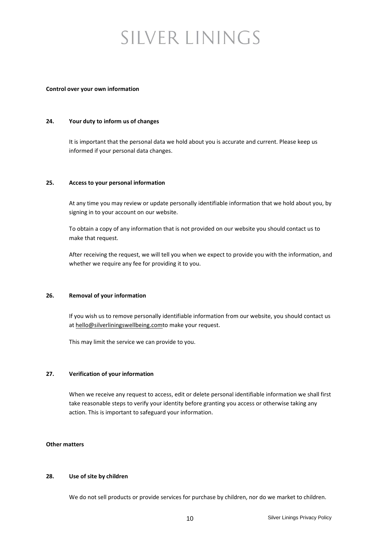#### **Control over your own information**

#### **24. Your duty to inform us of changes**

It is important that the personal data we hold about you is accurate and current. Please keep us informed if your personal data changes.

#### **25. Access to your personal information**

At any time you may review or update personally identifiable information that we hold about you, by signing in to your account on our website.

To obtain a copy of any information that is not provided on our website you should contact us to make that request.

After receiving the request, we will tell you when we expect to provide you with the information, and whether we require any fee for providing it to you.

#### **26. Removal of your information**

If you wish us to remove personally identifiable information from our website, you should contact us a[t hello@silverliningswellbeing.comt](mailto:hello@silverliningswellbeing.com)o make your request.

This may limit the service we can provide to you.

#### **27. Verification of your information**

When we receive any request to access, edit or delete personal identifiable information we shall first take reasonable steps to verify your identity before granting you access or otherwise taking any action. This is important to safeguard your information.

#### **Other matters**

#### **28. Use of site by children**

We do not sell products or provide services for purchase by children, nor do we market to children.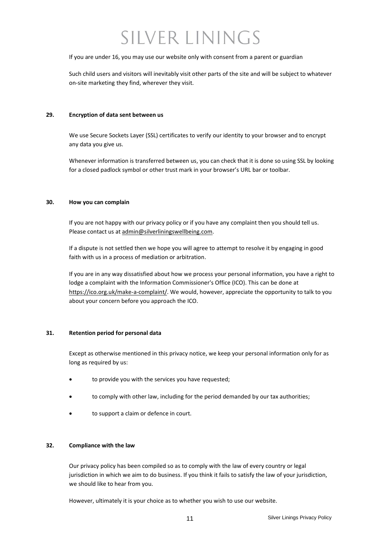If you are under 16, you may use our website only with consent from a parent or guardian

Such child users and visitors will inevitably visit other parts of the site and will be subject to whatever on-site marketing they find, wherever they visit.

#### **29. Encryption of data sent between us**

We use Secure Sockets Layer (SSL) certificates to verify our identity to your browser and to encrypt any data you give us.

Whenever information is transferred between us, you can check that it is done so using SSL by looking for a closed padlock symbol or other trust mark in your browser's URL bar or toolbar.

#### **30. How you can complain**

If you are not happy with our privacy policy or if you have any complaint then you should tell us. Please contact us at [admin@silverliningswellbeing.com.](mailto:admin@silverliningswellbeing.com)

If a dispute is not settled then we hope you will agree to attempt to resolve it by engaging in good faith with us in a process of mediation or arbitration.

If you are in any way dissatisfied about how we process your personal information, you have a right to lodge a complaint with the Information Commissioner's Office (ICO). This can be done at [https://ico.org.uk/make-a-complaint/.](https://ico.org.uk/make-a-complaint/) We would, however, appreciate the opportunity to talk to you about your concern before you approach the ICO.

#### **31. Retention period for personal data**

Except as otherwise mentioned in this privacy notice, we keep your personal information only for as long as required by us:

- to provide you with the services you have requested;
- to comply with other law, including for the period demanded by our tax authorities;
- to support a claim or defence in court.

#### **32. Compliance with the law**

Our privacy policy has been compiled so as to comply with the law of every country or legal jurisdiction in which we aim to do business. If you think it fails to satisfy the law of your jurisdiction, we should like to hear from you.

However, ultimately it is your choice as to whether you wish to use our website.